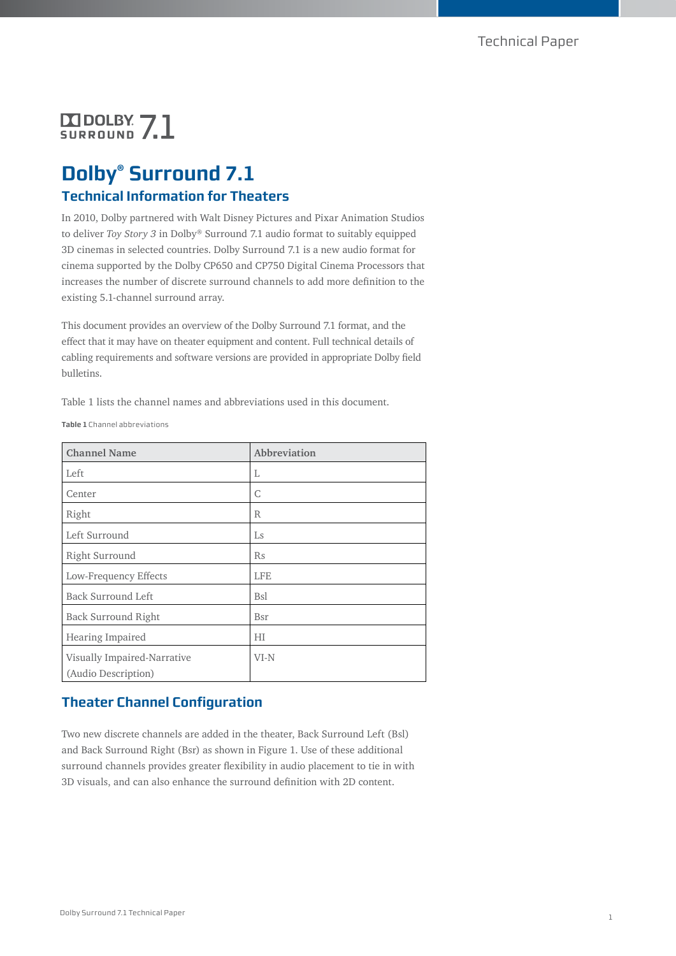# **DODOLBY 71**

# **Dolby® Surround 7.1 Technical Information for Theaters**

In 2010, Dolby partnered with Walt Disney Pictures and Pixar Animation Studios to deliver *Toy Story 3* in Dolby® Surround 7.1 audio format to suitably equipped 3D cinemas in selected countries. Dolby Surround 7.1 is a new audio format for cinema supported by the Dolby CP650 and CP750 Digital Cinema Processors that increases the number of discrete surround channels to add more definition to the existing 5.1-channel surround array.

This document provides an overview of the Dolby Surround 7.1 format, and the effect that it may have on theater equipment and content. Full technical details of cabling requirements and software versions are provided in appropriate Dolby field bulletins.

Table 1 lists the channel names and abbreviations used in this document.

**Table 1** Channel abbreviations

| <b>Channel Name</b>                                | Abbreviation |
|----------------------------------------------------|--------------|
| Left                                               | L            |
| Center                                             | C            |
| Right                                              | R            |
| Left Surround                                      | Ls           |
| Right Surround                                     | Rs           |
| Low-Frequency Effects                              | <b>LFE</b>   |
| Back Surround Left                                 | <b>Bsl</b>   |
| <b>Back Surround Right</b>                         | Bsr          |
| Hearing Impaired                                   | НI           |
| Visually Impaired-Narrative<br>(Audio Description) | VI-N         |

# **Theater Channel Configuration**

Two new discrete channels are added in the theater, Back Surround Left (Bsl) and Back Surround Right (Bsr) as shown in Figure 1. Use of these additional surround channels provides greater flexibility in audio placement to tie in with 3D visuals, and can also enhance the surround definition with 2D content.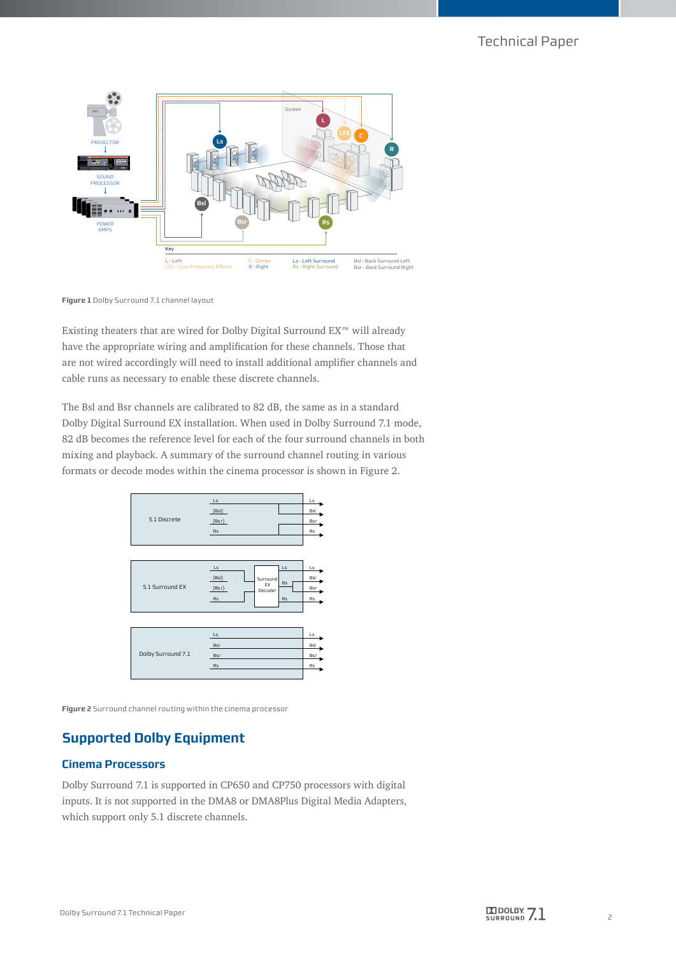

**Figure 1** Dolby Surround 7.1 channel layout

Existing theaters that are wired for Dolby Digital Surround EX™ will already have the appropriate wiring and amplification for these channels. Those that are not wired accordingly will need to install additional amplifier channels and cable runs as necessary to enable these discrete channels.

The Bsl and Bsr channels are calibrated to 82 dB, the same as in a standard Dolby Digital Surround EX installation. When used in Dolby Surround 7.1 mode, 82 dB becomes the reference level for each of the four surround channels in both mixing and playback. A summary of the surround channel routing in various formats or decode modes within the cinema processor is shown in Figure 2.



**Figure 2** Surround channel routing within the cinema processor

# **Supported Dolby Equipment**

#### **Cinema Processors**

Dolby Surround 7.1 is supported in CP650 and CP750 processors with digital inputs. It is not supported in the DMA8 or DMA8Plus Digital Media Adapters, which support only 5.1 discrete channels.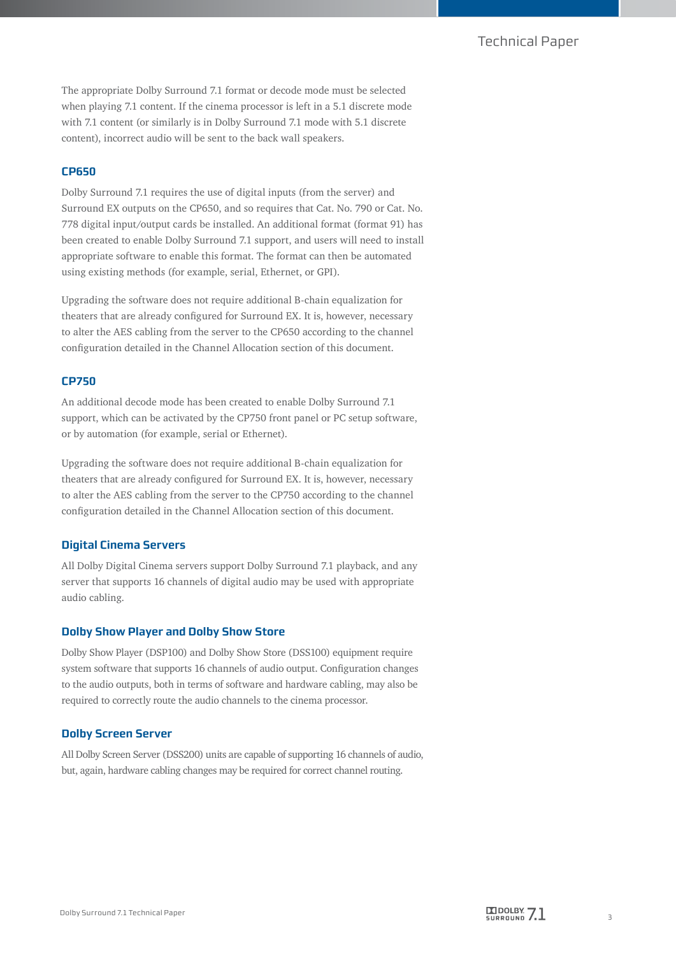## Technical Paper

The appropriate Dolby Surround 7.1 format or decode mode must be selected when playing 7.1 content. If the cinema processor is left in a 5.1 discrete mode with 7.1 content (or similarly is in Dolby Surround 7.1 mode with 5.1 discrete content), incorrect audio will be sent to the back wall speakers.

#### **CP650**

Dolby Surround 7.1 requires the use of digital inputs (from the server) and Surround EX outputs on the CP650, and so requires that Cat. No. 790 or Cat. No. 778 digital input/output cards be installed. An additional format (format 91) has been created to enable Dolby Surround 7.1 support, and users will need to install appropriate software to enable this format. The format can then be automated using existing methods (for example, serial, Ethernet, or GPI).

Upgrading the software does not require additional B-chain equalization for theaters that are already configured for Surround EX. It is, however, necessary to alter the AES cabling from the server to the CP650 according to the channel configuration detailed in the Channel Allocation section of this document.

#### **CP750**

An additional decode mode has been created to enable Dolby Surround 7.1 support, which can be activated by the CP750 front panel or PC setup software, or by automation (for example, serial or Ethernet).

Upgrading the software does not require additional B-chain equalization for theaters that are already configured for Surround EX. It is, however, necessary to alter the AES cabling from the server to the CP750 according to the channel configuration detailed in the Channel Allocation section of this document.

#### **Digital Cinema Servers**

All Dolby Digital Cinema servers support Dolby Surround 7.1 playback, and any server that supports 16 channels of digital audio may be used with appropriate audio cabling.

#### **Dolby Show Player and Dolby Show Store**

Dolby Show Player (DSP100) and Dolby Show Store (DSS100) equipment require system software that supports 16 channels of audio output. Configuration changes to the audio outputs, both in terms of software and hardware cabling, may also be required to correctly route the audio channels to the cinema processor.

#### **Dolby Screen Server**

All Dolby Screen Server (DSS200) units are capable of supporting 16 channels of audio, but, again, hardware cabling changes may be required for correct channel routing.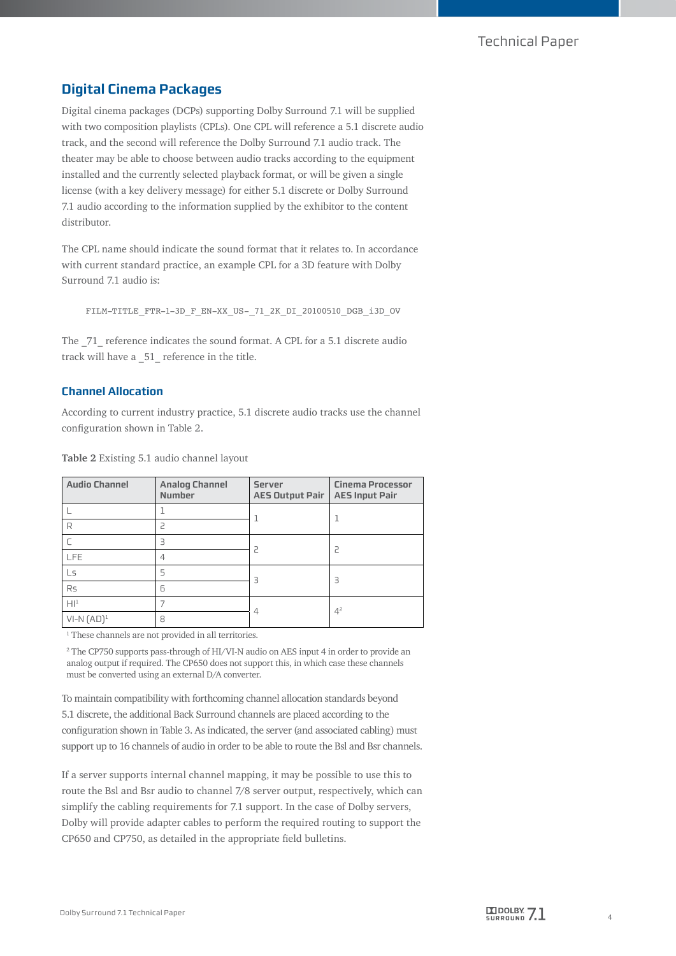# **Digital Cinema Packages**

Digital cinema packages (DCPs) supporting Dolby Surround 7.1 will be supplied with two composition playlists (CPLs). One CPL will reference a 5.1 discrete audio track, and the second will reference the Dolby Surround 7.1 audio track. The theater may be able to choose between audio tracks according to the equipment installed and the currently selected playback format, or will be given a single license (with a key delivery message) for either 5.1 discrete or Dolby Surround 7.1 audio according to the information supplied by the exhibitor to the content distributor.

The CPL name should indicate the sound format that it relates to. In accordance with current standard practice, an example CPL for a 3D feature with Dolby Surround 7.1 audio is:

FILM-TITLE\_FTR-1-3D\_F\_EN-XX\_US-\_71\_2K\_DI\_20100510\_DGB\_i3D\_OV

The  $71$  reference indicates the sound format. A CPL for a 5.1 discrete audio track will have a \_51\_ reference in the title.

### **Channel Allocation**

According to current industry practice, 5.1 discrete audio tracks use the channel configuration shown in Table 2.

| <b>Audio Channel</b> | <b>Analog Channel</b><br><b>Number</b> | <b>Server</b><br><b>AES Output Pair</b> | <b>Cinema Processor</b><br><b>AES Input Pair</b> |
|----------------------|----------------------------------------|-----------------------------------------|--------------------------------------------------|
|                      |                                        | 1                                       |                                                  |
| R                    | 2                                      |                                         |                                                  |
|                      | 3                                      | 2                                       |                                                  |
| <b>LFE</b>           | 4                                      |                                         |                                                  |
| Ls                   | 5                                      | 3                                       | Ρ                                                |
| <b>Rs</b>            | 6                                      |                                         |                                                  |
| Hl <sup>1</sup>      |                                        | 4                                       | 4 <sup>2</sup>                                   |
| $VI-N (AD)1$         | 8                                      |                                         |                                                  |

**Table 2** Existing 5.1 audio channel layout

<sup>1</sup> These channels are not provided in all territories.

2 The CP750 supports pass-through of HI/VI-N audio on AES input 4 in order to provide an analog output if required. The CP650 does not support this, in which case these channels must be converted using an external D/A converter.

To maintain compatibility with forthcoming channel allocation standards beyond 5.1 discrete, the additional Back Surround channels are placed according to the configuration shown in Table 3. As indicated, the server (and associated cabling) must support up to 16 channels of audio in order to be able to route the Bsl and Bsr channels.

If a server supports internal channel mapping, it may be possible to use this to route the Bsl and Bsr audio to channel 7/8 server output, respectively, which can simplify the cabling requirements for 7.1 support. In the case of Dolby servers, Dolby will provide adapter cables to perform the required routing to support the CP650 and CP750, as detailed in the appropriate field bulletins.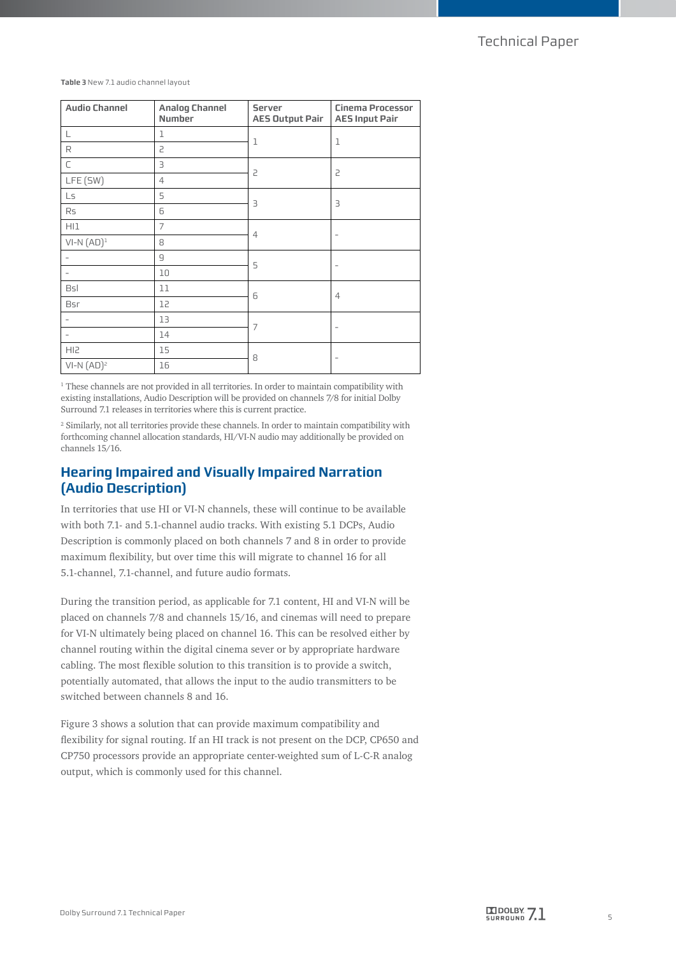**Table 3** New 7.1 audio channel layout

| <b>Audio Channel</b> | <b>Analog Channel</b><br><b>Number</b> | <b>Server</b><br><b>AES Output Pair</b> | <b>Cinema Processor</b><br><b>AES Input Pair</b> |
|----------------------|----------------------------------------|-----------------------------------------|--------------------------------------------------|
| L                    | 1                                      | $\mathbf 1$                             | $\mathbf 1$                                      |
| R                    | 2                                      |                                         |                                                  |
| $\subset$            | $\overline{\mathbf{3}}$                | $\overline{c}$                          | 2                                                |
| LFE (SW)             | $\overline{4}$                         |                                         |                                                  |
| Ls                   | 5                                      | $\overline{\mathbf{3}}$                 | 3                                                |
| Rs                   | 6                                      |                                         |                                                  |
| HI1                  | $\overline{7}$                         | $\overline{4}$                          | -                                                |
| $VI-N (AD)1$         | 8                                      |                                         |                                                  |
|                      | $\mathsf g$                            | 5                                       | $\qquad \qquad -$                                |
|                      | 10                                     |                                         |                                                  |
| <b>Bsl</b>           | 11                                     | 6                                       | $\overline{4}$                                   |
| Bsr                  | 12                                     |                                         |                                                  |
| -                    | 13                                     | 7                                       | -                                                |
| -                    | 14                                     |                                         |                                                  |
| HI <sub>2</sub>      | 15                                     | 8                                       |                                                  |
| $VI-N (AD)2$         | 16                                     |                                         |                                                  |

<sup>1</sup> These channels are not provided in all territories. In order to maintain compatibility with existing installations, Audio Description will be provided on channels 7/8 for initial Dolby Surround 7.1 releases in territories where this is current practice.

2 Similarly, not all territories provide these channels. In order to maintain compatibility with forthcoming channel allocation standards, HI/VI-N audio may additionally be provided on channels 15/16.

# **Hearing Impaired and Visually Impaired Narration (Audio Description)**

In territories that use HI or VI-N channels, these will continue to be available with both 7.1- and 5.1-channel audio tracks. With existing 5.1 DCPs, Audio Description is commonly placed on both channels 7 and 8 in order to provide maximum flexibility, but over time this will migrate to channel 16 for all 5.1-channel, 7.1-channel, and future audio formats.

During the transition period, as applicable for 7.1 content, HI and VI-N will be placed on channels 7/8 and channels 15/16, and cinemas will need to prepare for VI-N ultimately being placed on channel 16. This can be resolved either by channel routing within the digital cinema sever or by appropriate hardware cabling. The most flexible solution to this transition is to provide a switch, potentially automated, that allows the input to the audio transmitters to be switched between channels 8 and 16.

Figure 3 shows a solution that can provide maximum compatibility and flexibility for signal routing. If an HI track is not present on the DCP, CP650 and CP750 processors provide an appropriate center-weighted sum of L-C-R analog output, which is commonly used for this channel.